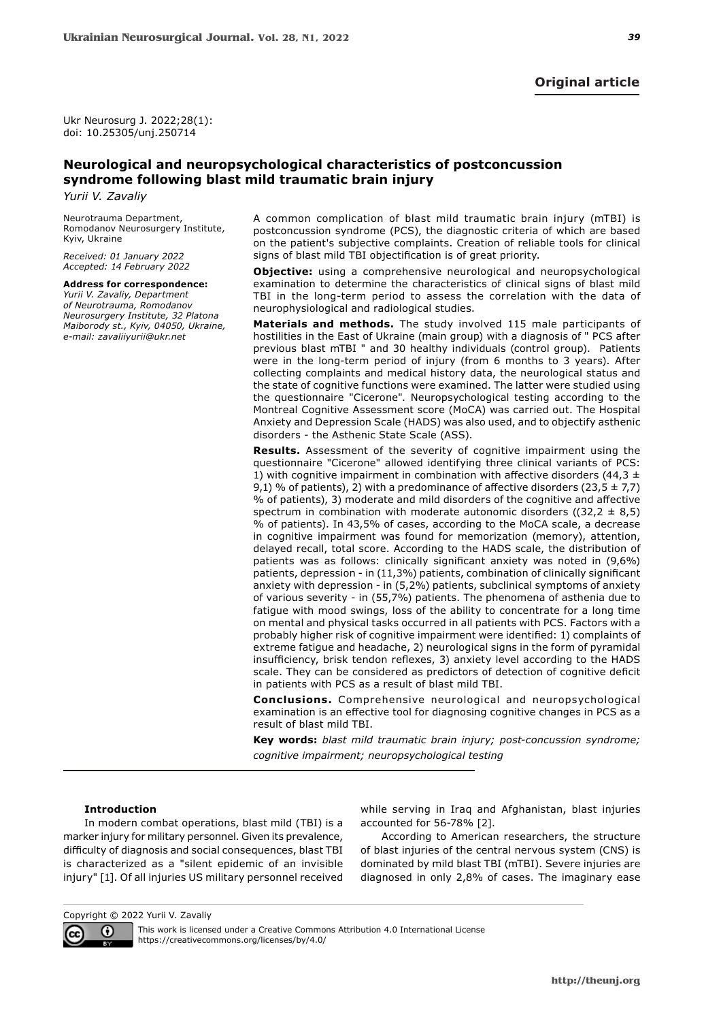Ukr Neurosurg J. 2022;28(1): doi: 10.25305/unj.250714

# **Neurological and neuropsychological characteristics of postconcussion syndrome following blast mild traumatic brain injury**

*Yurii V. Zavaliy*

Neurotrauma Department, Romodanov Neurosurgery Institute, Kyiv, Ukraine

*Received: 01 January 2022 Accepted: 14 February 2022*

# **Address for correspondence:**

*Yurii V. Zavaliy, Department of Neurotrauma, Romodanov Neurosurgery Institute, 32 Platona Maiborody st., Kyiv, 04050, Ukraine, e-mail: zavaliiyurii@ukr.net*

A common complication of blast mild traumatic brain injury (mTBI) is postconcussion syndrome (PCS), the diagnostic criteria of which are based on the patient's subjective complaints. Creation of reliable tools for clinical signs of blast mild TBI objectification is of great priority.

**Objective:** using a comprehensive neurological and neuropsychological examination to determine the characteristics of clinical signs of blast mild TBI in the long-term period to assess the correlation with the data of neurophysiological and radiological studies.

**Materials and methods.** The study involved 115 male participants of hostilities in the East of Ukraine (main group) with a diagnosis of " PCS after previous blast mTBI " and 30 healthy individuals (control group). Patients were in the long-term period of injury (from 6 months to 3 years). After collecting complaints and medical history data, the neurological status and the state of cognitive functions were examined. The latter were studied using the questionnaire "Cicerone". Neuropsychological testing according to the Montreal Cognitive Assessment score (MoCA) was carried out. The Hospital Anxiety and Depression Scale (HADS) was also used, and to objectify asthenic disorders - the Asthenic State Scale (ASS).

**Results.** Assessment of the severity of cognitive impairment using the questionnaire "Cicerone" allowed identifying three clinical variants of PCS: 1) with cognitive impairment in combination with affective disorders (44,3  $\pm$ 9,1) % of patients), 2) with a predominance of affective disorders (23,5  $\pm$  7,7) % of patients), 3) moderate and mild disorders of the cognitive and affective spectrum in combination with moderate autonomic disorders ( $(32,2 \pm 8,5)$ ) % of patients). In 43,5% of cases, according to the MoCA scale, a decrease in cognitive impairment was found for memorization (memory), attention, delayed recall, total score. According to the HADS scale, the distribution of patients was as follows: clinically significant anxiety was noted in (9,6%) patients, depression - in (11,3%) patients, combination of clinically significant anxiety with depression - in (5,2%) patients, subclinical symptoms of anxiety of various severity - in (55,7%) patients. The phenomena of asthenia due to fatigue with mood swings, loss of the ability to concentrate for a long time on mental and physical tasks occurred in all patients with PCS. Factors with a probably higher risk of cognitive impairment were identified: 1) complaints of extreme fatigue and headache, 2) neurological signs in the form of pyramidal insufficiency, brisk tendon reflexes, 3) anxiety level according to the HADS scale. They can be considered as predictors of detection of cognitive deficit in patients with PCS as a result of blast mild TBI.

**Conclusions.** Comprehensive neurological and neuropsychological examination is an effective tool for diagnosing cognitive changes in PCS as a result of blast mild TBI.

**Key words:** *blast mild traumatic brain injury; post-concussion syndrome; cognitive impairment; neuropsychological testing*

# **Introduction**

In modern combat operations, blast mild (TBI) is a marker injury for military personnel. Given its prevalence, difficulty of diagnosis and social consequences, blast TBI is characterized as a "silent epidemic of an invisible injury" [1]. Of all injuries US military personnel received while serving in Iraq and Afghanistan, blast injuries accounted for 56-78% [2].

According to American researchers, the structure of blast injuries of the central nervous system (CNS) is dominated by mild blast TBI (mTBI). Severe injuries are diagnosed in only 2,8% of cases. The imaginary ease

Copyright © 2022 Yurii V. Zavaliy

 $\odot$ cc

This work is licensed under a Creative Commons Attribution 4.0 International License https://creativecommons.org/licenses/by/4.0/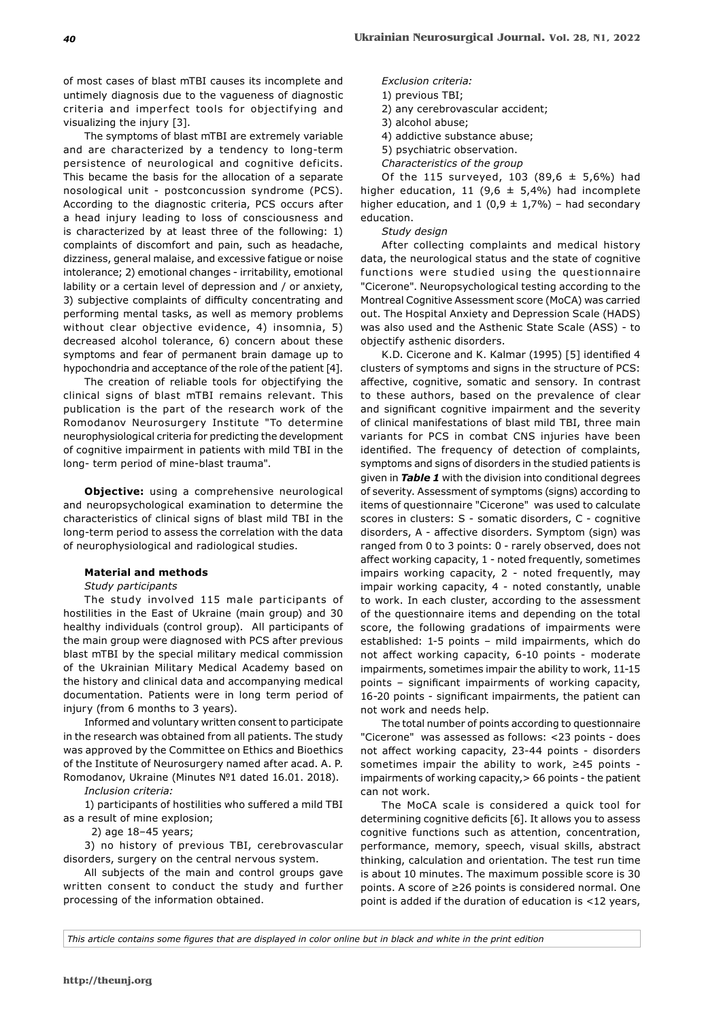of most cases of blast mTBI causes its incomplete and untimely diagnosis due to the vagueness of diagnostic criteria and imperfect tools for objectifying and visualizing the injury [3].

The symptoms of blast mTBI are extremely variable and are characterized by a tendency to long-term persistence of neurological and cognitive deficits. This became the basis for the allocation of a separate nosological unit - postconcussion syndrome (PCS). According to the diagnostic criteria, PCS occurs after a head injury leading to loss of consciousness and is characterized by at least three of the following: 1) complaints of discomfort and pain, such as headache, dizziness, general malaise, and excessive fatigue or noise intolerance; 2) emotional changes - irritability, emotional lability or a certain level of depression and / or anxiety, 3) subjective complaints of difficulty concentrating and performing mental tasks, as well as memory problems without clear objective evidence, 4) insomnia, 5) decreased alcohol tolerance, 6) concern about these symptoms and fear of permanent brain damage up to hypochondria and acceptance of the role of the patient [4].

The creation of reliable tools for objectifying the clinical signs of blast mTBI remains relevant. This publication is the part of the research work of the Romodanov Neurosurgery Institute "To determine neurophysiological criteria for predicting the development of cognitive impairment in patients with mild TBI in the long- term period of mine-blast trauma".

**Objective:** using a comprehensive neurological and neuropsychological examination to determine the characteristics of clinical signs of blast mild TBI in the long-term period to assess the correlation with the data of neurophysiological and radiological studies.

# **Material and methods**

#### *Study participants*

The study involved 115 male participants of hostilities in the East of Ukraine (main group) and 30 healthy individuals (control group). All participants of the main group were diagnosed with PCS after previous blast mTBI by the special military medical commission of the Ukrainian Military Medical Academy based on the history and clinical data and accompanying medical documentation. Patients were in long term period of injury (from 6 months to 3 years).

Informed and voluntary written consent to participate in the research was obtained from all patients. The study was approved by the Committee on Ethics and Bioethics of the Institute of Neurosurgery named after acad. A. P. Romodanov, Ukraine (Minutes №1 dated 16.01. 2018).

### *Inclusion criteria:*

1) participants of hostilities who suffered a mild TBI as a result of mine explosion;

2) age 18-45 years;

3) no history of previous TBI, cerebrovascular disorders, surgery on the central nervous system.

All subjects of the main and control groups gave written consent to conduct the study and further processing of the information obtained.

*Exclusion criteria:*

- 1) previous TBI;
- 2) any cerebrovascular accident;
- 3) alcohol abuse;
- 4) addictive substance abuse;
- 5) psychiatric observation.
- *Characteristics of the group*

Of the 115 surveyed, 103 (89,6  $\pm$  5,6%) had higher education, 11 (9,6  $\pm$  5,4%) had incomplete higher education, and 1 (0,9  $\pm$  1,7%) – had secondary education.

#### *Study design*

After collecting complaints and medical history data, the neurological status and the state of cognitive functions were studied using the questionnaire "Cicerone". Neuropsychological testing according to the Montreal Cognitive Assessment score (MoCA) was carried out. The Hospital Anxiety and Depression Scale (HADS) was also used and the Asthenic State Scale (ASS) - to objectify asthenic disorders.

K.D. Cicerone and K. Kalmar (1995) [5] identified 4 clusters of symptoms and signs in the structure of PCS: affective, cognitive, somatic and sensory. In contrast to these authors, based on the prevalence of clear and significant cognitive impairment and the severity of clinical manifestations of blast mild TBI, three main variants for PCS in combat CNS injuries have been identified. The frequency of detection of complaints, symptoms and signs of disorders in the studied patients is given in *Table 1* with the division into conditional degrees of severity. Assessment of symptoms (signs) according to items of questionnaire "Cicerone" was used to calculate scores in clusters: S - somatic disorders, C - cognitive disorders, A - affective disorders. Symptom (sign) was ranged from 0 to 3 points: 0 - rarely observed, does not affect working capacity, 1 - noted frequently, sometimes impairs working capacity, 2 - noted frequently, may impair working capacity, 4 - noted constantly, unable to work. In each cluster, according to the assessment of the questionnaire items and depending on the total score, the following gradations of impairments were established: 1-5 points – mild impairments, which do not affect working capacity, 6-10 points - moderate impairments, sometimes impair the ability to work, 11-15 points – significant impairments of working capacity, 16-20 points - significant impairments, the patient can not work and needs help.

The total number of points according to questionnaire "Cicerone" was assessed as follows: <23 points - does not affect working capacity, 23-44 points - disorders sometimes impair the ability to work, ≥45 points impairments of working capacity,> 66 points - the patient can not work.

The MoCA scale is considered a quick tool for determining cognitive deficits [6]. It allows you to assess cognitive functions such as attention, concentration, performance, memory, speech, visual skills, abstract thinking, calculation and orientation. The test run time is about 10 minutes. The maximum possible score is 30 points. A score of ≥26 points is considered normal. One point is added if the duration of education is <12 years,

*This article contains some figures that are displayed in color online but in black and white in the print edition*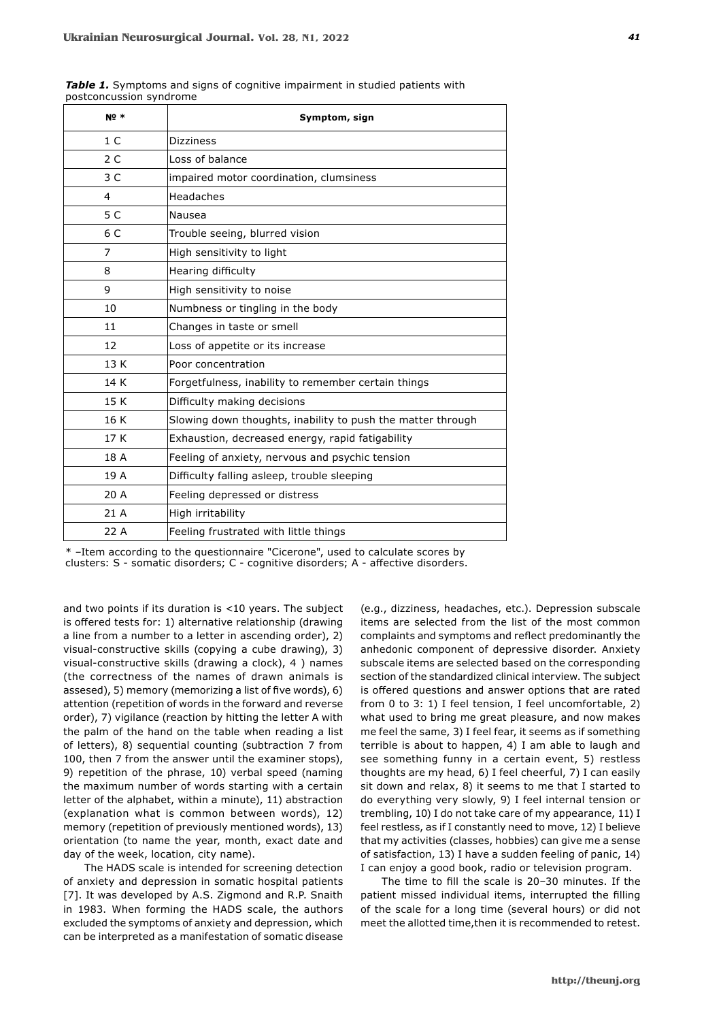| <b>Nº *</b>             | Symptom, sign                                               |
|-------------------------|-------------------------------------------------------------|
| 1 <sup>C</sup>          | <b>Dizziness</b>                                            |
| 2C                      | Loss of balance                                             |
| 3 <sup>C</sup>          | impaired motor coordination, clumsiness                     |
| $\overline{\mathbf{4}}$ | Headaches                                                   |
| 5 C                     | Nausea                                                      |
| 6 C                     | Trouble seeing, blurred vision                              |
| 7                       | High sensitivity to light                                   |
| 8                       | Hearing difficulty                                          |
| 9                       | High sensitivity to noise                                   |
| 10                      | Numbness or tingling in the body                            |
| 11                      | Changes in taste or smell                                   |
| 12                      | Loss of appetite or its increase                            |
| 13K                     | Poor concentration                                          |
| 14 K                    | Forgetfulness, inability to remember certain things         |
| 15 K                    | Difficulty making decisions                                 |
| 16 K                    | Slowing down thoughts, inability to push the matter through |
| 17K                     | Exhaustion, decreased energy, rapid fatigability            |
| 18 A                    | Feeling of anxiety, nervous and psychic tension             |
| 19 A                    | Difficulty falling asleep, trouble sleeping                 |
| 20 A                    | Feeling depressed or distress                               |
| 21 A                    | High irritability                                           |
| 22 A                    | Feeling frustrated with little things                       |

**Table 1.** Symptoms and signs of cognitive impairment in studied patients with postconcussion syndrome

\* –Item according to the questionnaire "Cicerone", used to calculate scores by clusters: S - somatic disorders; C - cognitive disorders; A - affective disorders.

and two points if its duration is <10 years. The subject is offered tests for: 1) alternative relationship (drawing a line from a number to a letter in ascending order), 2) visual-constructive skills (copying a cube drawing), 3) visual-constructive skills (drawing a clock), 4 ) names (the correctness of the names of drawn animals is assesed), 5) memory (memorizing a list of five words), 6) attention (repetition of words in the forward and reverse order), 7) vigilance (reaction by hitting the letter A with the palm of the hand on the table when reading a list of letters), 8) sequential counting (subtraction 7 from 100, then 7 from the answer until the examiner stops), 9) repetition of the phrase, 10) verbal speed (naming the maximum number of words starting with a certain letter of the alphabet, within a minute), 11) abstraction (explanation what is common between words), 12) memory (repetition of previously mentioned words), 13) orientation (to name the year, month, exact date and day of the week, location, city name).

The HADS scale is intended for screening detection of anxiety and depression in somatic hospital patients [7]. It was developed by A.S. Zigmond and R.P. Snaith in 1983. When forming the HADS scale, the authors excluded the symptoms of anxiety and depression, which can be interpreted as a manifestation of somatic disease

(e.g., dizziness, headaches, etc.). Depression subscale items are selected from the list of the most common complaints and symptoms and reflect predominantly the anhedonic component of depressive disorder. Anxiety subscale items are selected based on the corresponding section of the standardized clinical interview. The subject is offered questions and answer options that are rated from 0 to 3: 1) I feel tension, I feel uncomfortable, 2) what used to bring me great pleasure, and now makes me feel the same, 3) I feel fear, it seems as if something terrible is about to happen, 4) I am able to laugh and see something funny in a certain event, 5) restless thoughts are my head, 6) I feel cheerful, 7) I can easily sit down and relax, 8) it seems to me that I started to do everything very slowly, 9) I feel internal tension or trembling, 10) I do not take care of my appearance, 11) I feel restless, as if I constantly need to move, 12) I believe that my activities (classes, hobbies) can give me a sense of satisfaction, 13) I have a sudden feeling of panic, 14) I can enjoy a good book, radio or television program.

The time to fill the scale is 20-30 minutes. If the patient missed individual items, interrupted the filling of the scale for a long time (several hours) or did not meet the allotted time,then it is recommended to retest.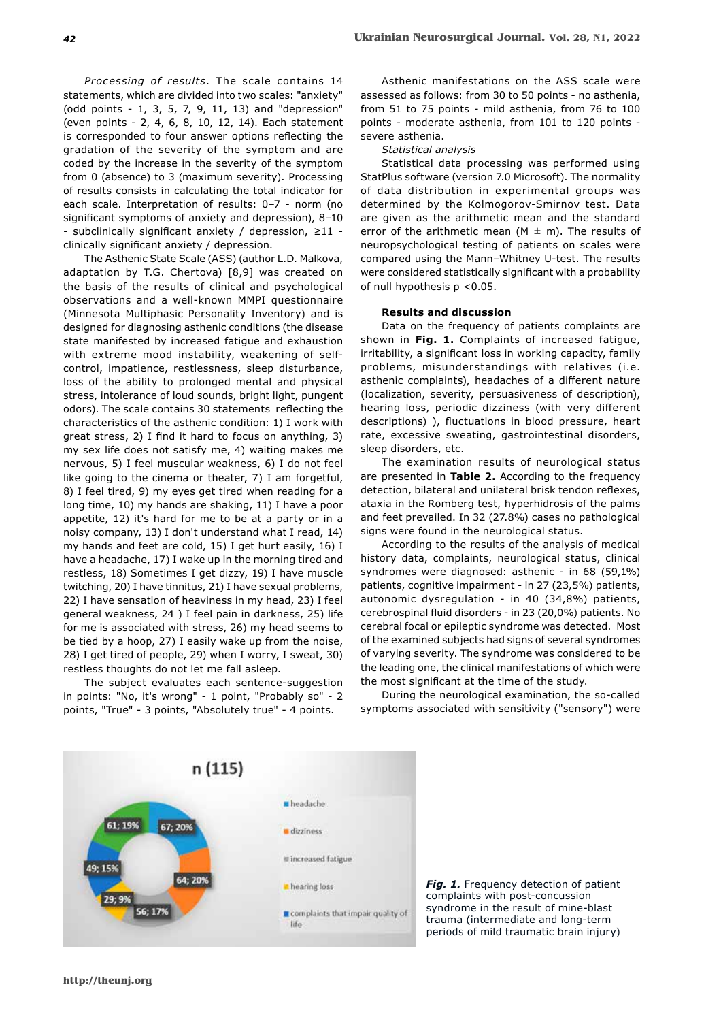*Processing of results*. The scale contains 14 statements, which are divided into two scales: "anxiety" (odd points - 1, 3, 5, 7, 9, 11, 13) and "depression" (even points - 2, 4, 6, 8, 10, 12, 14). Each statement is corresponded to four answer options reflecting the gradation of the severity of the symptom and are coded by the increase in the severity of the symptom from 0 (absence) to 3 (maximum severity). Processing of results consists in calculating the total indicator for each scale. Interpretation of results: 0–7 - norm (no significant symptoms of anxiety and depression), 8–10 - subclinically significant anxiety / depression, ≥11 clinically significant anxiety / depression.

The Asthenic State Scale (ASS) (author L.D. Malkova, adaptation by T.G. Chertova) [8,9] was created on the basis of the results of clinical and psychological observations and a well-known MMPI questionnaire (Minnesota Multiphasic Personality Inventory) and is designed for diagnosing asthenic conditions (the disease state manifested by increased fatigue and exhaustion with extreme mood instability, weakening of selfcontrol, impatience, restlessness, sleep disturbance, loss of the ability to prolonged mental and physical stress, intolerance of loud sounds, bright light, pungent odors). The scale contains 30 statements reflecting the characteristics of the asthenic condition: 1) I work with great stress, 2) I find it hard to focus on anything, 3) my sex life does not satisfy me, 4) waiting makes me nervous, 5) I feel muscular weakness, 6) I do not feel like going to the cinema or theater, 7) I am forgetful, 8) I feel tired, 9) my eyes get tired when reading for a long time, 10) my hands are shaking, 11) I have a poor appetite, 12) it's hard for me to be at a party or in a noisy company, 13) I don't understand what I read, 14) my hands and feet are cold, 15) I get hurt easily, 16) I have a headache, 17) I wake up in the morning tired and restless, 18) Sometimes I get dizzy, 19) I have muscle twitching, 20) I have tinnitus, 21) I have sexual problems, 22) I have sensation of heaviness in my head, 23) I feel general weakness, 24 ) I feel pain in darkness, 25) life for me is associated with stress, 26) my head seems to be tied by a hoop, 27) I easily wake up from the noise, 28) I get tired of people, 29) when I worry, I sweat, 30) restless thoughts do not let me fall asleep.

The subject evaluates each sentence-suggestion in points: "No, it's wrong" - 1 point, "Probably so" - 2 points, "True" - 3 points, "Absolutely true" - 4 points.

Asthenic manifestations on the ASS scale were assessed as follows: from 30 to 50 points - no asthenia, from 51 to 75 points - mild asthenia, from 76 to 100 points - moderate asthenia, from 101 to 120 points severe asthenia.

#### *Statistical analysis*

Statistical data processing was performed using StatPlus software (version 7.0 Microsoft). The normality of data distribution in experimental groups was determined by the Kolmogorov-Smirnov test. Data are given as the arithmetic mean and the standard error of the arithmetic mean ( $M \pm m$ ). The results of neuropsychological testing of patients on scales were compared using the Mann-Whitney U-test. The results were considered statistically significant with a probability of null hypothesis p <0.05.

#### **Results and discussion**

Data on the frequency of patients complaints are shown in **Fig. 1.** Complaints of increased fatigue, irritability, a significant loss in working capacity, family problems, misunderstandings with relatives (i.e. asthenic complaints), headaches of a different nature (localization, severity, persuasiveness of description), hearing loss, periodic dizziness (with very different descriptions) ), fluctuations in blood pressure, heart rate, excessive sweating, gastrointestinal disorders, sleep disorders, etc.

The examination results of neurological status are presented in **Table 2.** According to the frequency detection, bilateral and unilateral brisk tendon reflexes, ataxia in the Romberg test, hyperhidrosis of the palms and feet prevailed. In 32 (27.8%) cases no pathological signs were found in the neurological status.

According to the results of the analysis of medical history data, complaints, neurological status, clinical syndromes were diagnosed: asthenic - in 68 (59,1%) patients, cognitive impairment - in 27 (23,5%) patients, autonomic dysregulation - in 40 (34,8%) patients, cerebrospinal fluid disorders - in 23 (20,0%) patients. No cerebral focal or epileptic syndrome was detected. Most of the examined subjects had signs of several syndromes of varying severity. The syndrome was considered to be the leading one, the clinical manifestations of which were the most significant at the time of the study.

During the neurological examination, the so-called symptoms associated with sensitivity ("sensory") were





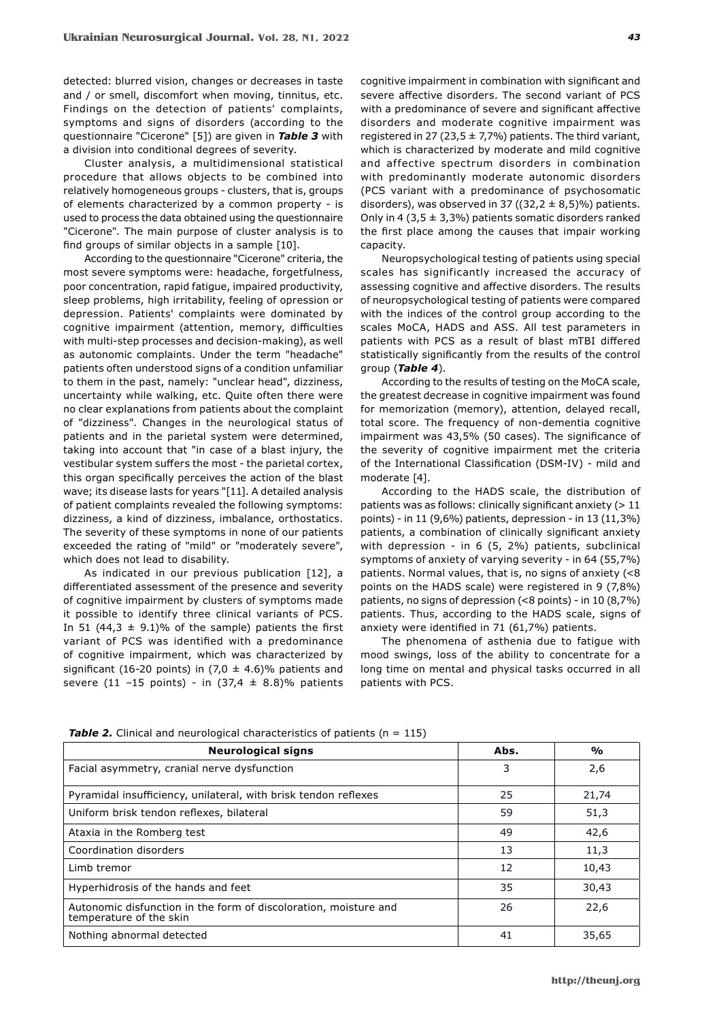detected: blurred vision, changes or decreases in taste and / or smell, discomfort when moving, tinnitus, etc. Findings on the detection of patients' complaints, symptoms and signs of disorders (according to the questionnaire "Cicerone" [5]) are given in *Table 3* with a division into conditional degrees of severity.

Cluster analysis, a multidimensional statistical procedure that allows objects to be combined into relatively homogeneous groups - clusters, that is, groups of elements characterized by a common property - is used to process the data obtained using the questionnaire "Cicerone". The main purpose of cluster analysis is to find groups of similar objects in a sample [10].

According to the questionnaire "Cicerone" criteria, the most severe symptoms were: headache, forgetfulness, poor concentration, rapid fatigue, impaired productivity, sleep problems, high irritability, feeling of opression or depression. Patients' complaints were dominated by cognitive impairment (attention, memory, difficulties with multi-step processes and decision-making), as well as autonomic complaints. Under the term "headache" patients often understood signs of a condition unfamiliar to them in the past, namely: "unclear head", dizziness, uncertainty while walking, etc. Quite often there were no clear explanations from patients about the complaint of "dizziness". Changes in the neurological status of patients and in the parietal system were determined, taking into account that "in case of a blast injury, the vestibular system suffers the most - the parietal cortex, this organ specifically perceives the action of the blast wave; its disease lasts for years "[11]. A detailed analysis of patient complaints revealed the following symptoms: dizziness, a kind of dizziness, imbalance, orthostatics. The severity of these symptoms in none of our patients exceeded the rating of "mild" or "moderately severe", which does not lead to disability.

As indicated in our previous publication [12], a differentiated assessment of the presence and severity of cognitive impairment by clusters of symptoms made it possible to identify three clinical variants of PCS. In 51 (44,3  $\pm$  9.1)% of the sample) patients the first variant of PCS was identified with a predominance of cognitive impairment, which was characterized by significant (16-20 points) in (7,0  $\pm$  4.6)% patients and severe (11 -15 points) - in  $(37,4 \pm 8.8)\%$  patients cognitive impairment in combination with significant and severe affective disorders. The second variant of PCS with a predominance of severe and significant affective disorders and moderate cognitive impairment was registered in 27 (23,5  $\pm$  7,7%) patients. The third variant, which is characterized by moderate and mild cognitive and affective spectrum disorders in combination with predominantly moderate autonomic disorders (PCS variant with a predominance of psychosomatic disorders), was observed in 37 ((32,2  $\pm$  8,5)%) patients. Only in 4 (3,5  $\pm$  3,3%) patients somatic disorders ranked the first place among the causes that impair working capacity.

Neuropsychological testing of patients using special scales has significantly increased the accuracy of assessing cognitive and affective disorders. The results of neuropsychological testing of patients were compared with the indices of the control group according to the scales MoCA, HADS and ASS. All test parameters in patients with PCS as a result of blast mTBI differed statistically significantly from the results of the control group (*Table 4*).

According to the results of testing on the MoCA scale, the greatest decrease in cognitive impairment was found for memorization (memory), attention, delayed recall, total score. The frequency of non-dementia cognitive impairment was 43,5% (50 cases). The significance of the severity of cognitive impairment met the criteria of the International Classification (DSM-IV) - mild and moderate [4].

According to the HADS scale, the distribution of patients was as follows: clinically significant anxiety (> 11 points) - in 11 (9,6%) patients, depression - in 13 (11,3%) patients, a combination of clinically significant anxiety with depression - in 6 (5, 2%) patients, subclinical symptoms of anxiety of varying severity - in 64 (55,7%) patients. Normal values, that is, no signs of anxiety (<8 points on the HADS scale) were registered in 9 (7,8%) patients, no signs of depression (<8 points) - in 10 (8,7%) patients. Thus, according to the HADS scale, signs of anxiety were identified in 71 (61,7%) patients.

The phenomena of asthenia due to fatigue with mood swings, loss of the ability to concentrate for a long time on mental and physical tasks occurred in all patients with PCS.

| <b>Neurological signs</b>                                                                   | Abs. | $\frac{0}{0}$ |
|---------------------------------------------------------------------------------------------|------|---------------|
| Facial asymmetry, cranial nerve dysfunction                                                 | 3    | 2,6           |
| Pyramidal insufficiency, unilateral, with brisk tendon reflexes                             | 25   | 21,74         |
| Uniform brisk tendon reflexes, bilateral                                                    | 59   | 51,3          |
| Ataxia in the Romberg test                                                                  | 49   | 42,6          |
| Coordination disorders                                                                      | 13   | 11,3          |
| Limb tremor                                                                                 | 12   | 10,43         |
| Hyperhidrosis of the hands and feet                                                         | 35   | 30,43         |
| Autonomic disfunction in the form of discoloration, moisture and<br>temperature of the skin | 26   | 22,6          |
| Nothing abnormal detected                                                                   | 41   | 35,65         |

**Table 2.** Clinical and neurological characteristics of patients (n = 115)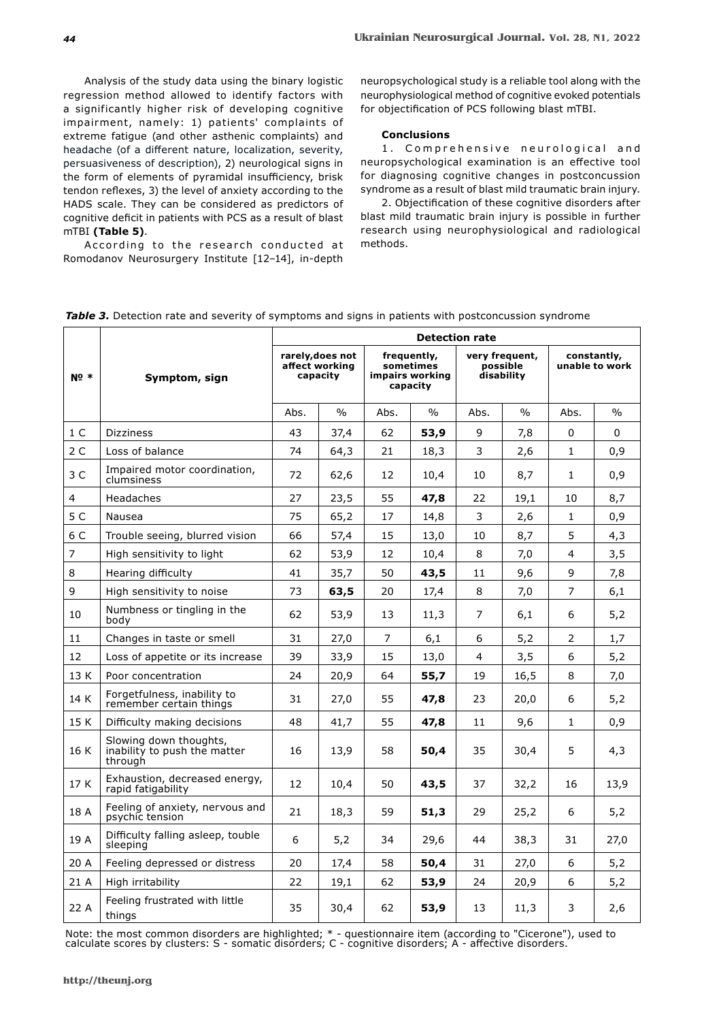Analysis of the study data using the binary logistic regression method allowed to identify factors with a significantly higher risk of developing cognitive impairment, namely: 1) patients' complaints of extreme fatigue (and other asthenic complaints) and headache (of a different nature, localization, severity, persuasiveness of description), 2) neurological signs in the form of elements of pyramidal insufficiency, brisk tendon reflexes, 3) the level of anxiety according to the HADS scale. They can be considered as predictors of cognitive deficit in patients with PCS as a result of blast mTBI **(Table 5)**.

According to the research conducted at Romodanov Neurosurgery Institute [12-14], in-depth neuropsychological study is a reliable tool along with the neurophysiological method of cognitive evoked potentials for objectification of PCS following blast mTBI.

### **Conclusions**

1. Comprehensive neurological and neuropsychological examination is an effective tool for diagnosing cognitive changes in postconcussion syndrome as a result of blast mild traumatic brain injury.

2. Objectification of these cognitive disorders after blast mild traumatic brain injury is possible in further research using neurophysiological and radiological methods.

|  |  |  | Table 3. Detection rate and severity of symptoms and signs in patients with postconcussion syndrome |
|--|--|--|-----------------------------------------------------------------------------------------------------|
|--|--|--|-----------------------------------------------------------------------------------------------------|

|        |                                                                   | <b>Detection rate</b> |                                                |      |                                                         |      |                                          |                |                               |  |
|--------|-------------------------------------------------------------------|-----------------------|------------------------------------------------|------|---------------------------------------------------------|------|------------------------------------------|----------------|-------------------------------|--|
| $N0$ * | Symptom, sign                                                     |                       | rarely, does not<br>affect working<br>capacity |      | frequently,<br>sometimes<br>impairs working<br>capacity |      | very frequent,<br>possible<br>disability |                | constantly,<br>unable to work |  |
|        |                                                                   | Abs.                  | $\frac{0}{0}$                                  | Abs. | $\%$                                                    | Abs. | $\frac{0}{0}$                            | Abs.           | $\%$                          |  |
| $1\,C$ | <b>Dizziness</b>                                                  | 43                    | 37,4                                           | 62   | 53,9                                                    | 9    | 7,8                                      | $\Omega$       | $\Omega$                      |  |
| 2C     | Loss of balance                                                   | 74                    | 64,3                                           | 21   | 18,3                                                    | 3    | 2,6                                      | $\mathbf{1}$   | 0,9                           |  |
| 3C     | Impaired motor coordination,<br>clumsiness                        | 72                    | 62,6                                           | 12   | 10,4                                                    | 10   | 8,7                                      | 1              | 0,9                           |  |
| 4      | Headaches                                                         | 27                    | 23,5                                           | 55   | 47,8                                                    | 22   | 19,1                                     | 10             | 8,7                           |  |
| 5 C    | Nausea                                                            | 75                    | 65,2                                           | 17   | 14,8                                                    | 3    | 2,6                                      | 1              | 0,9                           |  |
| 6 C    | Trouble seeing, blurred vision                                    | 66                    | 57,4                                           | 15   | 13,0                                                    | 10   | 8,7                                      | 5              | 4,3                           |  |
| 7      | High sensitivity to light                                         | 62                    | 53,9                                           | 12   | 10,4                                                    | 8    | 7,0                                      | $\overline{4}$ | 3,5                           |  |
| 8      | Hearing difficulty                                                | 41                    | 35,7                                           | 50   | 43,5                                                    | 11   | 9,6                                      | 9              | 7,8                           |  |
| 9      | High sensitivity to noise                                         | 73                    | 63,5                                           | 20   | 17,4                                                    | 8    | 7,0                                      | 7              | 6,1                           |  |
| 10     | Numbness or tingling in the<br>bodv                               | 62                    | 53,9                                           | 13   | 11,3                                                    | 7    | 6,1                                      | 6              | 5,2                           |  |
| 11     | Changes in taste or smell                                         | 31                    | 27,0                                           | 7    | 6,1                                                     | 6    | 5,2                                      | $\overline{2}$ | 1,7                           |  |
| 12     | Loss of appetite or its increase                                  | 39                    | 33,9                                           | 15   | 13,0                                                    | 4    | 3,5                                      | 6              | 5,2                           |  |
| 13 K   | Poor concentration                                                | 24                    | 20,9                                           | 64   | 55,7                                                    | 19   | 16,5                                     | 8              | 7,0                           |  |
| 14 K   | Forgetfulness, inability to<br>remember certain things            | 31                    | 27,0                                           | 55   | 47,8                                                    | 23   | 20,0                                     | 6              | 5,2                           |  |
| 15 K   | Difficulty making decisions                                       | 48                    | 41,7                                           | 55   | 47,8                                                    | 11   | 9,6                                      | 1              | 0,9                           |  |
| 16 K   | Slowing down thoughts,<br>inability to push the matter<br>through | 16                    | 13,9                                           | 58   | 50,4                                                    | 35   | 30,4                                     | 5              | 4,3                           |  |
| 17 K   | Exhaustion, decreased energy,<br>rapid fatigability               | 12                    | 10,4                                           | 50   | 43,5                                                    | 37   | 32,2                                     | 16             | 13,9                          |  |
| 18 A   | Feeling of anxiety, nervous and<br>psychic tension                | 21                    | 18,3                                           | 59   | 51,3                                                    | 29   | 25,2                                     | 6              | 5,2                           |  |
| 19 A   | Difficulty falling asleep, touble<br>sleeping                     | 6                     | 5,2                                            | 34   | 29,6                                                    | 44   | 38,3                                     | 31             | 27,0                          |  |
| 20 A   | Feeling depressed or distress                                     | 20                    | 17,4                                           | 58   | 50,4                                                    | 31   | 27,0                                     | 6              | 5,2                           |  |
| 21 A   | High irritability                                                 | 22                    | 19,1                                           | 62   | 53,9                                                    | 24   | 20,9                                     | 6              | 5,2                           |  |
| 22 A   | Feeling frustrated with little<br>things                          | 35                    | 30,4                                           | 62   | 53,9                                                    | 13   | 11,3                                     | 3              | 2,6                           |  |

Note: the most common disorders are highlighted; \* - questionnaire item (according to "Cicerone"), used to calculate scores by clusters: S - somatic disorders; C - cognitive disorders; A - affective disorders.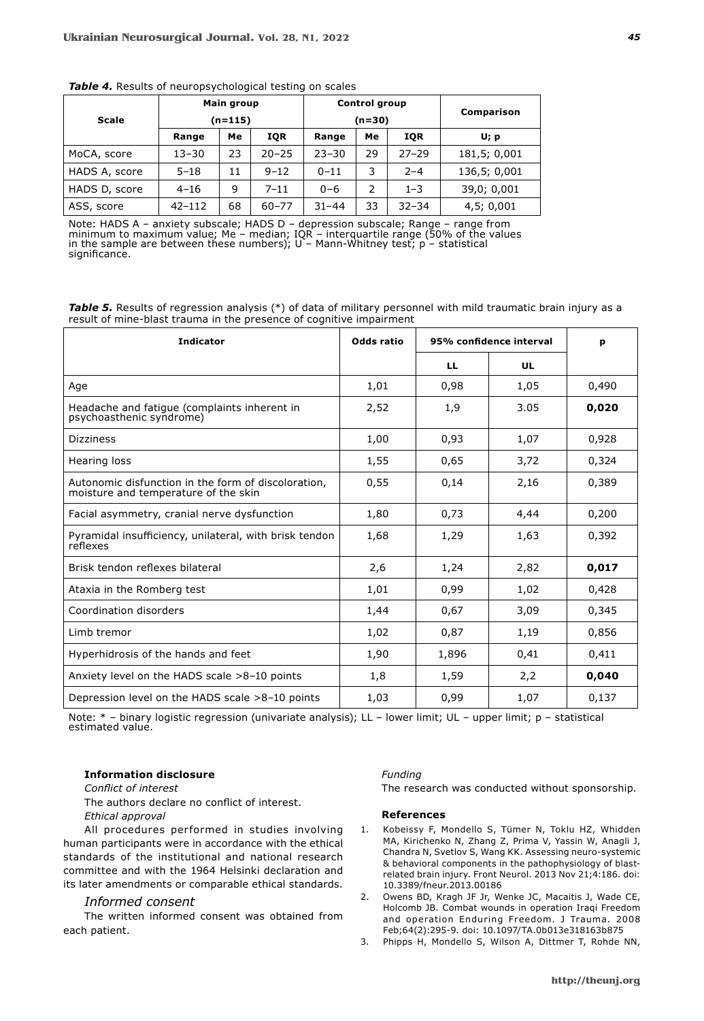| <b>Scale</b>  | Main group<br>$(n=115)$ |    |           | <b>Control group</b><br>$(n=30)$ | Comparison     |            |              |
|---------------|-------------------------|----|-----------|----------------------------------|----------------|------------|--------------|
|               | Range                   | Мe | IQR       | Range                            | Me             | <b>IQR</b> | U; p         |
| MoCA, score   | $13 - 30$               | 23 | $20 - 25$ | $23 - 30$                        | 29             | $27 - 29$  | 181,5; 0,001 |
| HADS A, score | $5 - 18$                | 11 | $9 - 12$  | $0 - 11$                         | 3              | $2 - 4$    | 136,5; 0,001 |
| HADS D, score | $4 - 16$                | 9  | $7 - 11$  | $0 - 6$                          | $\overline{2}$ | $1 - 3$    | 39,0; 0,001  |
| ASS, score    | $42 - 112$              | 68 | $60 - 77$ | $31 - 44$                        | 33             | $32 - 34$  | 4,5;0,001    |

### *Table 4.* Results of neuropsychological testing on scales

Note: HADS A – anxiety subscale; HADS D – depression subscale; Range – range from minimum to maximum value; Me – median; IQR – interquartile range (50% of the values in the sample are between these numbers); U – Mann-Whitney test; р – statistical significance.

|  |                                                                     |  |  | <b>Table 5.</b> Results of regression analysis (*) of data of military personnel with mild traumatic brain injury as a |  |
|--|---------------------------------------------------------------------|--|--|------------------------------------------------------------------------------------------------------------------------|--|
|  | result of mine-blast trauma in the presence of cognitive impairment |  |  |                                                                                                                        |  |

| <b>Indicator</b>                                                                            | Odds ratio | 95% confidence interval |      | р     |
|---------------------------------------------------------------------------------------------|------------|-------------------------|------|-------|
|                                                                                             |            | <b>LL</b>               | UL   |       |
| Age                                                                                         | 1,01       | 0,98                    | 1,05 | 0,490 |
| Headache and fatigue (complaints inherent in<br>psychoasthenic syndrome)                    | 2,52       | 1,9                     | 3.05 | 0,020 |
| <b>Dizziness</b>                                                                            | 1,00       | 0,93                    | 1,07 | 0,928 |
| Hearing loss                                                                                | 1,55       | 0,65                    | 3,72 | 0,324 |
| Autonomic disfunction in the form of discoloration.<br>moisture and temperature of the skin | 0,55       | 0,14                    | 2,16 | 0.389 |
| Facial asymmetry, cranial nerve dysfunction                                                 | 1,80       | 0,73                    | 4,44 | 0,200 |
| Pyramidal insufficiency, unilateral, with brisk tendon<br>réflexes                          | 1,68       | 1,29                    | 1,63 | 0,392 |
| Brisk tendon reflexes bilateral                                                             | 2,6        | 1,24                    | 2,82 | 0,017 |
| Ataxia in the Romberg test                                                                  | 1,01       | 0,99                    | 1,02 | 0,428 |
| Coordination disorders                                                                      | 1,44       | 0,67                    | 3,09 | 0,345 |
| Limb tremor                                                                                 | 1,02       | 0,87                    | 1,19 | 0,856 |
| Hyperhidrosis of the hands and feet                                                         | 1,90       | 1,896                   | 0,41 | 0,411 |
| Anxiety level on the HADS scale >8-10 points                                                | 1,8        | 1,59                    | 2,2  | 0,040 |
| Depression level on the HADS scale >8-10 points                                             | 1,03       | 0,99                    | 1,07 | 0,137 |

Note: \* – binary logistic regression (univariate analysis); LL – lower limit; UL – upper limit; р – statistical estimated value.

**Information disclosure**

*Conflict of interest*

The authors declare no conflict of interest.

*Ethical approval*

All procedures performed in studies involving human participants were in accordance with the ethical standards of the institutional and national research committee and with the 1964 Helsinki declaration and its later amendments or comparable ethical standards.

# *Informed consent*

The written informed consent was obtained from each patient.

# *Funding*

The research was conducted without sponsorship.

#### **References**

- 1. Kobeissy F, Mondello S, Tümer N, Toklu HZ, Whidden MA, Kirichenko N, Zhang Z, Prima V, Yassin W, Anagli J, Chandra N, Svetlov S, Wang KK. Assessing neuro-systemic & behavioral components in the pathophysiology of blastrelated brain injury. Front Neurol. 2013 Nov 21;4:186. doi: 10.3389/fneur.2013.00186
- 2. Owens BD, Kragh JF Jr, Wenke JC, Macaitis J, Wade CE, Holcomb JB. Combat wounds in operation Iraqi Freedom and operation Enduring Freedom. J Trauma. 2008 Feb;64(2):295-9. doi: 10.1097/TA.0b013e318163b875
- 3. Phipps H, Mondello S, Wilson A, Dittmer T, Rohde NN,